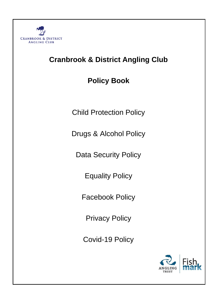

# **Cranbrook & District Angling Club**

**Policy Book**

Child Protection Policy

Drugs & Alcohol Policy

Data Security Policy

Equality Policy

Facebook Policy

Privacy Policy

Covid-19 Policy

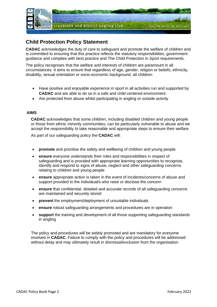

# **Child Protection Policy Statement**

**CADAC** acknowledges the duty of care to safeguard and promote the welfare of children and is committed to ensuring that this practice reflects the statutory responsibilities, government guidance and complies with best practice and The Child Protection in Sport requirements.

The policy recognises that the welfare and interests of children are paramount in all circumstances. It aims to ensure that regardless of age, gender, religion or beliefs, ethnicity, disability, sexual orientation or socio-economic background, all children:

- Have positive and enjoyable experience in sport in all activities run and supported by **CADAC** and are able to do so in a safe and child centered environment.
- Are protected from abuse whilst participating in angling or outside activity

#### **AIMS**

**CADAC** acknowledges that some children, including disabled children and young people or those from ethnic minority communities, can be particularly vulnerable to abuse and we accept the responsibility to take reasonable and appropriate steps to ensure their welfare.

As part of our safeguarding policy the **CADAC** will:

- **promote** and prioritise the safety and wellbeing of children and young people
- **ensure** everyone understands their roles and responsibilities in respect of safeguarding and is provided with appropriate learning opportunities to recognise, identify and respond to signs of abuse, neglect and other safeguarding concerns relating to children and young people
- **ensure** appropriate action is taken in the event of incidents/concerns of abuse and support provided to the individual/s who raise or disclose the concern
- **ensure** that confidential, detailed and accurate records of all safeguarding concerns are maintained and securely stored
- **prevent** the employment/deployment of unsuitable individuals
- **ensure** robust safeguarding arrangements and procedures are in operation
- **support** the training and development of all those supporting safeguarding standards in angling

The policy and procedures will be widely promoted and are mandatory for everyone involved in **CADAC**. Failure to comply with the policy and procedures will be addressed without delay and may ultimately result in dismissal/exclusion from the organisation.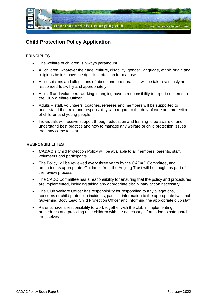

# **Child Protection Policy Application**

### **PRINCIPLES**

- The welfare of children is always paramount
- All children, whatever their age, culture, disability, gender, language, ethnic origin and religious beliefs have the right to protection from abuse
- All suspicions and allegations of abuse and poor practice will be taken seriously and responded to swiftly and appropriately
- All staff and volunteers working in angling have a responsibility to report concerns to the Club Welfare Officer
- Adults staff, volunteers, coaches, referees and members will be supported to understand their role and responsibility with regard to the duty of care and protection of children and young people
- Individuals will receive support through education and training to be aware of and understand best practice and how to manage any welfare or child protection issues that may come to light

### **RESPONSIBILITIES**

- **CADAC's** Child Protection Policy will be available to all members, parents, staff, volunteers and participants
- The Policy will be reviewed every three years by the CADAC Committee, and amended as appropriate. Guidance from the Angling Trust will be sought as part of the review process
- The CADC Committee has a responsibility for ensuring that the policy and procedures are implemented, including taking any appropriate disciplinary action necessary
- The Club Welfare Officer has responsibility for responding to any allegations, concerns or child protection incidents, passing information to the appropriate National Governing Body Lead Child Protection Officer and informing the appropriate club staff
- Parents have a responsibility to work together with the club in implementing procedures and providing their children with the necessary information to safeguard themselves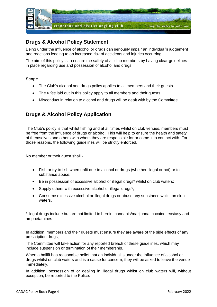

# **Drugs & Alcohol Policy Statement**

Being under the influence of alcohol or drugs can seriously impair an individual's judgement and reactions leading to an increased risk of accidents and injuries occurring.

The aim of this policy is to ensure the safety of all club members by having clear guidelines in place regarding use and possession of alcohol and drugs.

#### **Scope**

- The Club's alcohol and drugs policy applies to all members and their quests.
- The *rules* laid out in this policy apply to all members and their guests.
- Misconduct in relation to alcohol and drugs will be dealt with by the Committee.

### **Drugs & Alcohol Policy Application**

The Club's policy is that whilst fishing and at all times whilst on club venues, members must be free from the influence of drugs or alcohol. This will help to ensure the health and safety of themselves and others with whom they are responsible for or come into contact with. For those reasons, the following guidelines will be strictly enforced.

No member or their guest shall -

- Fish or try to fish when unfit due to alcohol or drugs (whether illegal or not) or to substance abuse;
- Be in possession of excessive alcohol or illegal drugs\* whilst on club waters;
- Supply others with excessive alcohol or illegal drugs\*;
- Consume excessive alcohol or illegal drugs or abuse any substance whilst on club waters.

\*Illegal drugs include but are not limited to heroin, cannabis/marijuana, cocaine, ecstasy and amphetamines

In addition, members and their guests must ensure they are aware of the side effects of any prescription drugs;

The Committee will take action for any reported breach of these guidelines, which may include suspension or termination of their membership.

When a bailiff has reasonable belief that an individual is under the influence of alcohol or drugs whilst on club waters and is a cause for concern, they will be asked to leave the venue immediately.

In addition, possession of or dealing in illegal drugs whilst on club waters will, without exception, be reported to the Police.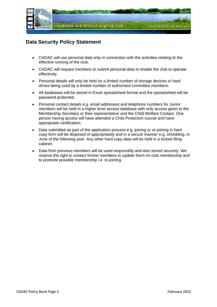

### **Data Security Policy Statement**

- CADAC will use personal data only in connection with the activities relating to the effective running of the club.
- CADAC will request members to submit personal data to enable the club to operate effectively.
- Personal details will only be held on a limited number of storage devices or hard drives being used by a limited number of authorised committee members.
- All databases will be stored in Excel spreadsheet format and the spreadsheet will be password protected.
- Personal contact details e.g. email addresses and telephone numbers for Junior members will be held in a higher level access database with only access given to the Membership Secretary or their representative and the Child Welfare Contact. One person having access will have attended a Child Protection course and have appropriate certification.
- Data submitted as part of the application process e.g. joining or re-joining in hard copy form will be disposed of appropriately and in a secure manner e.g. shredding, in June of the following year. Any other hard copy data will be held in a locked filing cabinet.
- Data from previous members will be used responsibly and also stored securely. We reserve the right to contact former members to update them on club membership and to promote possible membership i.e. re-joining.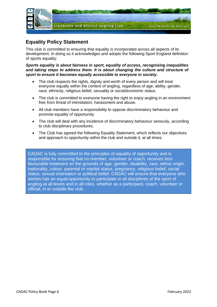

# **Equality Policy Statement**

This club is committed to ensuring that equality is incorporated across all aspects of its development. In doing so it acknowledges and adopts the following Sport England definition of sports equality:

*Sports equality is about fairness in sport, equality of access, recognising inequalities and taking steps to address them. It is about changing the culture and structure of sport to ensure it becomes equally accessible to everyone in society.*

- The club respects the rights, dignity and worth of every person and will treat everyone equally within the context of angling, regardless of age, ability, gender, race, ethnicity, religious belief, sexuality or social/economic status.
- The club is committed to everyone having the right to enjoy angling in an environment free from threat of intimidation, harassment and abuse.
- All club members have a responsibility to oppose discriminatory behaviour and promote equality of opportunity.
- The club will deal with any incidence of discriminatory behaviour seriously, according to club disciplinary procedures.
- The Club has agreed the following Equality Statement, which reflects our objectives and approach to opportunity within the club and outside it, at all times:

CADAC is fully committed to the principles of equality of opportunity and is responsible for ensuring that no member, volunteer or coach, receives less favourable treatment on the grounds of age, gender, disability, race, ethnic origin, nationality, colour, parental or marital status, pregnancy, religious belief, social status, sexual orientation or political belief. CADAC will ensure that everyone who wishes has an equal opportunity to participate in all disciplines of the sport of angling at all levels and in all roles, whether as a participant, coach, volunteer or official, in or outside the club.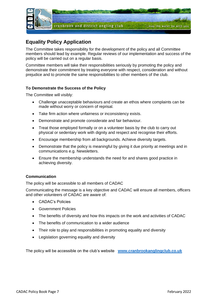

# **Equality Policy Application**

The Committee takes responsibility for the development of the policy and all Committee members should lead by example. Regular reviews of our implementation and success of the policy will be carried out on a regular basis.

Committee members will take their responsibilities seriously by promoting the policy and demonstrate their commitment by treating everyone with respect, consideration and without prejudice and to promote the same responsibilities to other members of the club.

### **To Demonstrate the Success of the Policy**

The Committee will visibly:

- Challenge unacceptable behaviours and create an ethos where complaints can be made without worry or concern of reprisal.
- Take firm action where unfairness or inconsistency exists.
- Demonstrate and promote considerate and fair behaviour.
- Treat those employed formally or on a volunteer basis by the club to carry out physical or sedentary work with dignity and respect and recognise their efforts.
- Encourage membership from all backgrounds. Achieve diversity targets.
- Demonstrate that the policy is meaningful by giving it due priority at meetings and in communications e.g. Newsletters.
- Ensure the membership understands the need for and shares good practice in achieving diversity.

### **Communication**

The policy will be accessible to all members of CADAC

Communicating the message is a key objective and CADAC will ensure all members, officers and other volunteers of CADAC are aware of:

- CADAC's Policies
- Government Policies
- The benefits of diversity and how this impacts on the work and activities of CADAC
- The benefits of communication to a wider audience
- Their role to play and responsibilities in promoting equality and diversity
- Legislation governing equality and diversity

The policy will be accessible on the club's website **[www.cranbrookanglingclub.co.uk](http://www.cranbrookanglingclub.co.uk/)**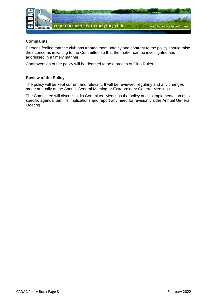

### **Complaints**

Persons feeling that the club has treated them unfairly and contrary to the policy should raise their concerns in writing to the Committee so that the matter can be investigated and addressed in a timely manner.

Contravention of the policy will be deemed to be a breach of Club Rules.

### **Review of the Policy**

The policy will be kept current and relevant. It will be reviewed regularly and any changes made annually at the Annual General Meeting or Extraordinary General Meetings.

The Committee will discuss at its Committee Meetings the policy and its implementation as a specific agenda item, its implications and report any need for revision via the Annual General Meeting.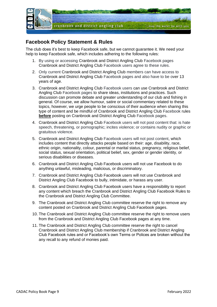

### **Facebook Policy Statement & Rules**

The club does it's best to keep Facebook safe, but we cannot guarantee it. We need your help to keep Facebook safe, which includes adhering to the following rules:

- 1. By using or accessing Cranbrook and District Angling Club Facebook pages Cranbrook and District Angling Club Facebook users agree to these rules.
- 2. Only current Cranbrook and District Angling Club members can have access to Cranbrook and District Angling Club Facebook pages and also have to be over 13 years of age.
- 3. Cranbrook and District Angling Club Facebook users can use Cranbrook and District Angling Club Facebook pages to share ideas, institutions and practices. Such discussion can promote debate and greater understanding of our club and fishing in general. Of course, we allow humour, satire or social commentary related to these topics, however, we urge people to be conscious of their audience when sharing this type of content and be mindful of Cranbrook and District Angling Club Facebook rules **before** posting on Cranbrook and District Angling Club Facebook pages.
- 4. Cranbrook and District Angling Club Facebook users will not post content that: is hate speech, threatening, or pornographic; incites violence; or contains nudity or graphic or gratuitous violence.
- 5. Cranbrook and District Angling Club Facebook users will not post content, which includes content that directly attacks people based on their: age, disability, race, ethnic origin, nationality, colour, parental or marital status, pregnancy, religious belief, social status, sexual orientation, political belief, sex, gender or gender identity, or serious disabilities or diseases.
- 6. Cranbrook and District Angling Club Facebook users will not use Facebook to do anything unlawful, misleading, malicious, or discriminatory.
- 7. Cranbrook and District Angling Club Facebook users will not use Cranbrook and District Angling Club Facebook to bully, intimidate, or harass any user.
- 8. Cranbrook and District Angling Club Facebook users have a responsibility to report any content which breach the Cranbrook and District Angling Club Facebook Rules to the Cranbrook and District Angling Club Committee.
- 9. The Cranbrook and District Angling Club committee reserve the right to remove any content posted on Cranbrook and District Angling Club Facebook pages.
- 10. The Cranbrook and District Angling Club committee reserve the right to remove users from the Cranbrook and District Angling Club Facebook pages at any time.
- 11. The Cranbrook and District Angling Club committee reserve the right to cancel Cranbrook and District Angling Club membership if Cranbrook and District Angling Club Facebook rules and or Facebook's own Terms or Polices are broken without the any recall to any refund of monies paid.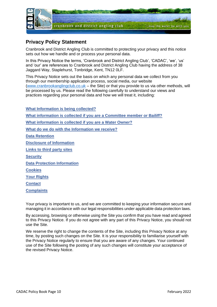

## **Privacy Policy Statement**

Cranbrook and District Angling Club is committed to protecting your privacy and this notice sets out how we handle and or process your personal data.

In this Privacy Notice the terms, 'Cranbrook and District Angling Club', 'CADAC', 'we', 'us' and 'our' are references to Cranbrook and District Angling Club having the address of 38 Jaggard Way, Staplehurst, Tonbridge, Kent, TN12 0LF.

This Privacy Notice sets out the basis on which any personal data we collect from you through our membership application process, social media, our website [\(www.cranbrookanglingclub.co.uk](http://www.cranbrookanglingclub.co.uk/) – the Site) or that you provide to us via other methods, will be processed by us. Please read the following carefully to understand our views and practices regarding your personal data and how we will treat it, including:

**What Information is being collected? What information is collected if you are a Committee member or Bailiff? What information is collected if you are a Water Owner? What do we do with the Information we receive? Data Retention Disclosure of Information Links to third party sites Security Data Protection Information Cookies Your Rights Contact Complaints**

Your privacy is important to us, and we are committed to keeping your information secure and managing it in accordance with our legal responsibilities under applicable data protection laws.

By accessing, browsing or otherwise using the Site you confirm that you have read and agreed to this Privacy Notice. If you do not agree with any part of this Privacy Notice, you should not use the Site.

We reserve the right to change the contents of the Site, including this Privacy Notice at any time, by posting such changes on the Site. It is your responsibility to familiarise yourself with the Privacy Notice regularly to ensure that you are aware of any changes. Your continued use of the Site following the posting of any such changes will constitute your acceptance of the revised Privacy Notice.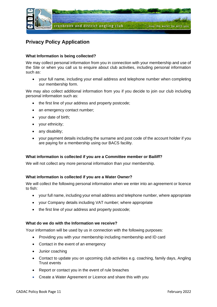

# **Privacy Policy Application**

### **What Information is being collected?**

We may collect personal information from you in connection with your membership and use of the Site or when you call us to enquire about club activities, including personal information such as:

• your full name, including your email address and telephone number when completing our membership form.

We may also collect additional information from you if you decide to join our club including personal information such as:

- the first line of your address and property postcode;
- an emergency contact number;
- your date of birth;
- your ethnicity;
- any disability;
- your payment details including the surname and post code of the account holder if you are paying for a membership using our BACS facility.

#### **What information is collected if you are a Committee member or Bailiff?**

We will not collect any more personal information than your membership.

#### **What information is collected if you are a Water Owner?**

We will collect the following personal information when we enter into an agreement or licence to fish:

- your full name, including your email address and telephone number, where appropriate
- your Company details including VAT number; where appropriate
- the first line of your address and property postcode;

#### **What do we do with the Information we receive?**

Your information will be used by us in connection with the following purposes:

- Providing you with your membership including membership and ID card
- Contact in the event of an emergency
- Junior coaching
- Contact to update you on upcoming club activities e.g. coaching, family days, Angling Trust events
- Report or contact you in the event of rule breaches
- Create a Water Agreement or Licence and share this with you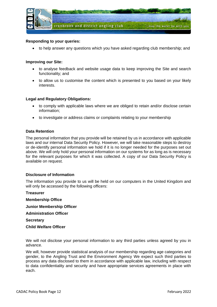

#### **Responding to your queries:**

• to help answer any questions which you have asked regarding club membership; and

#### **Improving our Site:**

- to analyse feedback and website usage data to keep improving the Site and search functionality; and
- to allow us to customise the content which is presented to you based on your likely interests.

#### **Legal and Regulatory Obligations:**

- to comply with applicable laws where we are obliged to retain and/or disclose certain information;
- to investigate or address claims or complaints relating to your membership

#### **Data Retention**

The personal information that you provide will be retained by us in accordance with applicable laws and our internal Data Security Policy. However, we will take reasonable steps to destroy or de-identify personal information we hold if it is no longer needed for the purposes set out above. We will only hold your personal information on our systems for as long as is necessary for the relevant purposes for which it was collected. A copy of our Data Security Policy is available on request.

#### **Disclosure of Information**

The information you provide to us will be held on our computers in the United Kingdom and will only be accessed by the following officers:

**Treasurer Membership Office Junior Membership Officer Administration Officer Secretary Child Welfare Officer**

We will not disclose your personal information to any third parties unless agreed by you in advance.

We will, however provide statistical analysis of our membership regarding age categories and gender, to the Angling Trust and the Environment Agency We expect such third parties to process any data disclosed to them in accordance with applicable law, including with respect to data confidentiality and security and have appropriate services agreements in place with each.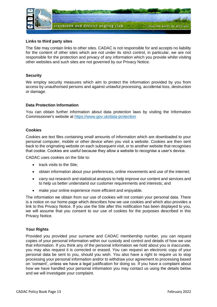

#### **Links to third party sites**

The Site may contain links to other sites. CADAC is not responsible for and accepts no liability for the content of other sites which are not under its strict control, in particular, we are not responsible for the protection and privacy of any information which you provide whilst visiting other websites and such sites are not governed by our Privacy Notice.

#### **Security**

We employ security measures which aim to protect the information provided by you from access by unauthorised persons and against unlawful processing, accidental loss, destruction or damage.

#### **Data Protection Information**

You can obtain further information about data protection laws by visiting the Information Commissioner's website at <https://www.gov.uk/data-protection>

#### **Cookies**

Cookies are text files containing small amounts of information which are downloaded to your personal computer, mobile or other device when you visit a website. Cookies are then sent back to the originating website on each subsequent visit, or to another website that recognises that cookie. Cookies are useful because they allow a website to recognise a user's device.

CADAC uses cookies on the Site to:

- track visits to the Site;
- obtain information about your preferences, online movements and use of the internet;
- carry out research and statistical analysis to help improve our content and services and to help us better understand our customer requirements and interests; and
- make your online experience more efficient and enjoyable.

The information we obtain from our use of cookies will not contain your personal data. There is a notice on our home page which describes how we use cookies and which also provides a link to this Privacy Notice. If you use the Site after this notification has been displayed to you, we will assume that you consent to our use of cookies for the purposes described in this Privacy Notice.

#### **Your Rights**

Provided you provided your surname and CADAC membership number, you can request copies of your personal information within our custody and control and details of how we use that information. If you think any of the personal information we hold about you is inaccurate, you may also request it is corrected or erased. You can request an electronic copy of your personal data be sent to you, should you wish. You also have a right to require us to stop processing your personal information and/or to withdraw your agreement to processing based on 'consent', unless we have a legal justification for doing so. If you have a complaint about how we have handled your personal information you may contact us using the details below and we will investigate your complaint.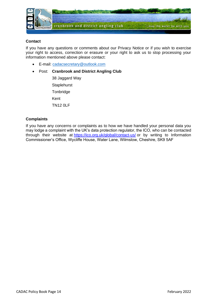

#### **Contact**

If you have any questions or comments about our Privacy Notice or if you wish to exercise your right to access, correction or erasure or your right to ask us to stop processing your information mentioned above please contact:

- E-mail: [cadacsecretary@outlook.com](mailto:cadacsecretary@outlook.com)
- Post: **Cranbrook and District Angling Club**

38 Jaggard Way **Staplehurst Tonbridge** Kent TN12 0LF

### **Complaints**

If you have any concerns or complaints as to how we have handled your personal data you may lodge a complaint with the UK's data protection regulator, the ICO, who can be contacted through their website at [https://ico.org.uk/global/contact-us/](https://eur02.safelinks.protection.outlook.com/?url=https%3A%2F%2Fico.org.uk%2Fglobal%2Fcontact-us%2F&data=02%7C01%7C%7C004877df24c24920872a08d5716eb8d6%7C84df9e7fe9f640afb435aaaaaaaaaaaa%7C1%7C0%7C636539642714304148&sdata=o%2BmhfPDsvrqqXWC7UjuEp%2FOxIY6qGE9%2BnyyamhoHhks%3D&reserved=0) or by writing to Information Commissioner's Office, Wycliffe House, Water Lane, Wilmslow, Cheshire, SK9 5AF